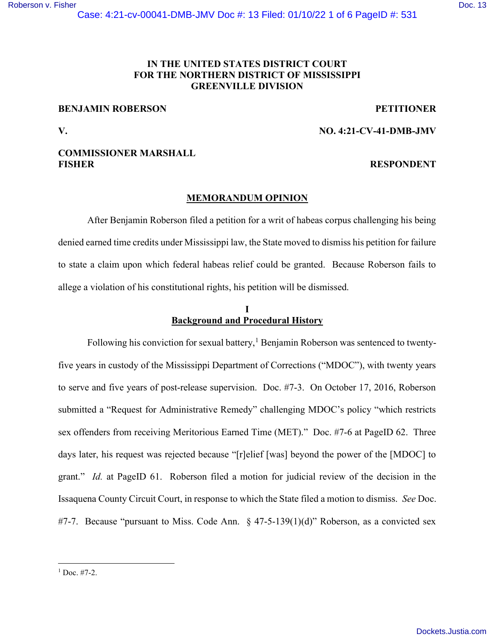## IN THE UNITED STATES DISTRICT COURT FOR THE NORTHERN DISTRICT OF MISSISSIPPI GREENVILLE DIVISION

#### BENJAMIN ROBERSON PETITIONER

V. NO. 4:21-CV-41-DMB-JMV

### COMMISSIONER MARSHALL FISHER RESPONDENT

# MEMORANDUM OPINION

After Benjamin Roberson filed a petition for a writ of habeas corpus challenging his being denied earned time credits under Mississippi law, the State moved to dismiss his petition for failure to state a claim upon which federal habeas relief could be granted. Because Roberson fails to allege a violation of his constitutional rights, his petition will be dismissed.

### I Background and Procedural History

Following his conviction for sexual battery,<sup>1</sup> Benjamin Roberson was sentenced to twentyfive years in custody of the Mississippi Department of Corrections ("MDOC"), with twenty years to serve and five years of post-release supervision. Doc. #7-3. On October 17, 2016, Roberson submitted a "Request for Administrative Remedy" challenging MDOC's policy "which restricts sex offenders from receiving Meritorious Earned Time (MET)." Doc. #7-6 at PageID 62. Three days later, his request was rejected because "[r]elief [was] beyond the power of the [MDOC] to grant." Id. at PageID 61. Roberson filed a motion for judicial review of the decision in the Issaquena County Circuit Court, in response to which the State filed a motion to dismiss. See Doc. #7-7. Because "pursuant to Miss. Code Ann.  $\frac{1}{2}$  47-5-139(1)(d)" Roberson, as a convicted sex

 $1$  Doc.  $#7-2$ .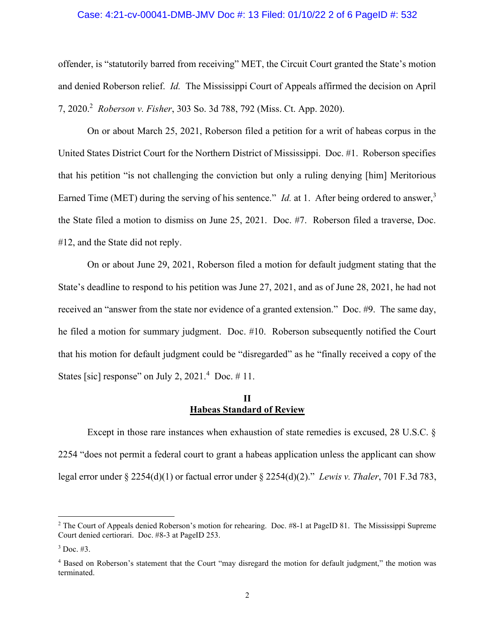#### Case: 4:21-cv-00041-DMB-JMV Doc #: 13 Filed: 01/10/22 2 of 6 PageID #: 532

offender, is "statutorily barred from receiving" MET, the Circuit Court granted the State's motion and denied Roberson relief. Id. The Mississippi Court of Appeals affirmed the decision on April 7, 2020.<sup>2</sup> Roberson v. Fisher, 303 So. 3d 788, 792 (Miss. Ct. App. 2020).

On or about March 25, 2021, Roberson filed a petition for a writ of habeas corpus in the United States District Court for the Northern District of Mississippi. Doc. #1. Roberson specifies that his petition "is not challenging the conviction but only a ruling denying [him] Meritorious Earned Time (MET) during the serving of his sentence." *Id.* at 1. After being ordered to answer,  $3$ the State filed a motion to dismiss on June 25, 2021. Doc. #7. Roberson filed a traverse, Doc. #12, and the State did not reply.

On or about June 29, 2021, Roberson filed a motion for default judgment stating that the State's deadline to respond to his petition was June 27, 2021, and as of June 28, 2021, he had not received an "answer from the state nor evidence of a granted extension." Doc. #9. The same day, he filed a motion for summary judgment. Doc. #10. Roberson subsequently notified the Court that his motion for default judgment could be "disregarded" as he "finally received a copy of the States [sic] response" on July 2,  $2021.^4$  Doc.  $\#$  11.

#### II Habeas Standard of Review

Except in those rare instances when exhaustion of state remedies is excused, 28 U.S.C. § 2254 "does not permit a federal court to grant a habeas application unless the applicant can show legal error under § 2254(d)(1) or factual error under § 2254(d)(2)." Lewis v. Thaler, 701 F.3d 783,

<sup>&</sup>lt;sup>2</sup> The Court of Appeals denied Roberson's motion for rehearing. Doc. #8-1 at PageID 81. The Mississippi Supreme Court denied certiorari. Doc. #8-3 at PageID 253.

 $3$  Doc. #3.

<sup>&</sup>lt;sup>4</sup> Based on Roberson's statement that the Court "may disregard the motion for default judgment," the motion was terminated.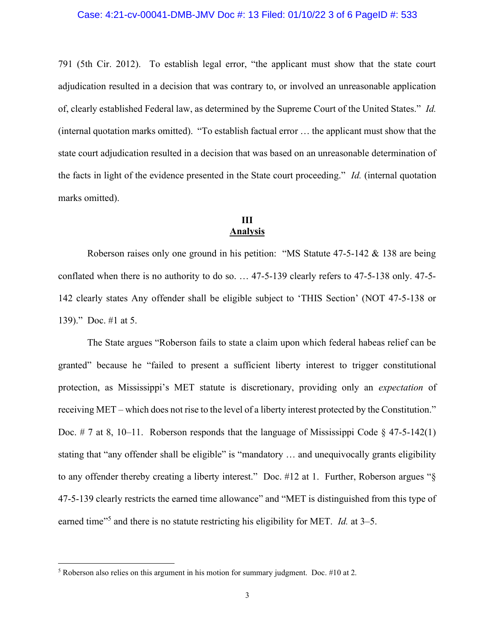791 (5th Cir. 2012). To establish legal error, "the applicant must show that the state court adjudication resulted in a decision that was contrary to, or involved an unreasonable application of, clearly established Federal law, as determined by the Supreme Court of the United States." Id. (internal quotation marks omitted). "To establish factual error … the applicant must show that the state court adjudication resulted in a decision that was based on an unreasonable determination of the facts in light of the evidence presented in the State court proceeding." Id. (internal quotation marks omitted).

# III Analysis

Roberson raises only one ground in his petition: "MS Statute 47-5-142 & 138 are being conflated when there is no authority to do so. … 47-5-139 clearly refers to 47-5-138 only. 47-5- 142 clearly states Any offender shall be eligible subject to 'THIS Section' (NOT 47-5-138 or 139)." Doc. #1 at 5.

The State argues "Roberson fails to state a claim upon which federal habeas relief can be granted" because he "failed to present a sufficient liberty interest to trigger constitutional protection, as Mississippi's MET statute is discretionary, providing only an expectation of receiving MET – which does not rise to the level of a liberty interest protected by the Constitution." Doc. # 7 at 8, 10–11. Roberson responds that the language of Mississippi Code  $\S$  47-5-142(1) stating that "any offender shall be eligible" is "mandatory … and unequivocally grants eligibility to any offender thereby creating a liberty interest." Doc. #12 at 1. Further, Roberson argues "§ 47-5-139 clearly restricts the earned time allowance" and "MET is distinguished from this type of earned time<sup> $15$ </sup> and there is no statute restricting his eligibility for MET. *Id.* at  $3-5$ .

<sup>&</sup>lt;sup>5</sup> Roberson also relies on this argument in his motion for summary judgment. Doc.  $#10$  at 2.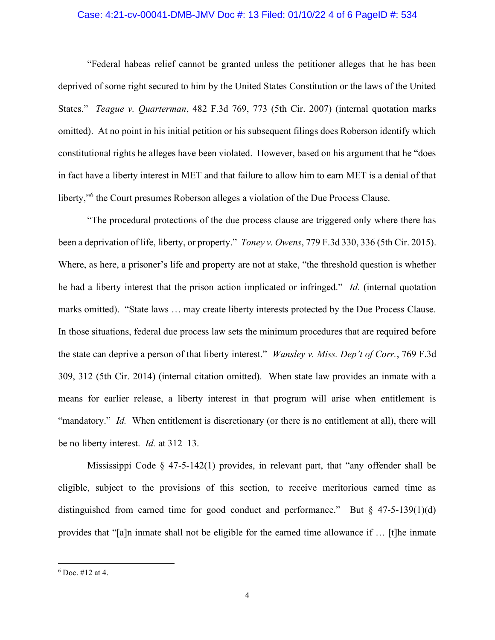#### Case: 4:21-cv-00041-DMB-JMV Doc #: 13 Filed: 01/10/22 4 of 6 PageID #: 534

"Federal habeas relief cannot be granted unless the petitioner alleges that he has been deprived of some right secured to him by the United States Constitution or the laws of the United States." Teague v. Quarterman, 482 F.3d 769, 773 (5th Cir. 2007) (internal quotation marks omitted). At no point in his initial petition or his subsequent filings does Roberson identify which constitutional rights he alleges have been violated. However, based on his argument that he "does in fact have a liberty interest in MET and that failure to allow him to earn MET is a denial of that liberty,"<sup>6</sup> the Court presumes Roberson alleges a violation of the Due Process Clause.

"The procedural protections of the due process clause are triggered only where there has been a deprivation of life, liberty, or property." *Toney v. Owens*, 779 F.3d 330, 336 (5th Cir. 2015). Where, as here, a prisoner's life and property are not at stake, "the threshold question is whether he had a liberty interest that the prison action implicated or infringed." Id. (internal quotation marks omitted). "State laws … may create liberty interests protected by the Due Process Clause. In those situations, federal due process law sets the minimum procedures that are required before the state can deprive a person of that liberty interest." Wansley v. Miss. Dep't of Corr., 769 F.3d 309, 312 (5th Cir. 2014) (internal citation omitted). When state law provides an inmate with a means for earlier release, a liberty interest in that program will arise when entitlement is "mandatory." Id. When entitlement is discretionary (or there is no entitlement at all), there will be no liberty interest. Id. at 312–13.

Mississippi Code  $\S$  47-5-142(1) provides, in relevant part, that "any offender shall be eligible, subject to the provisions of this section, to receive meritorious earned time as distinguished from earned time for good conduct and performance." But  $\S$  47-5-139(1)(d) provides that "[a]n inmate shall not be eligible for the earned time allowance if … [t]he inmate

 $6$  Doc.  $\#12$  at 4.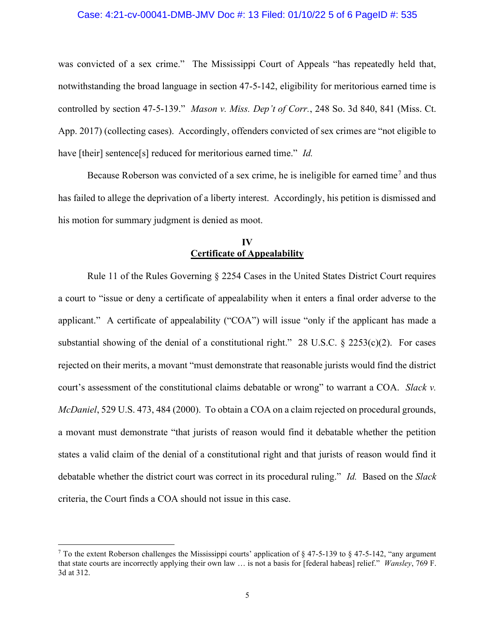#### Case: 4:21-cv-00041-DMB-JMV Doc #: 13 Filed: 01/10/22 5 of 6 PageID #: 535

was convicted of a sex crime." The Mississippi Court of Appeals "has repeatedly held that, notwithstanding the broad language in section 47-5-142, eligibility for meritorious earned time is controlled by section 47-5-139." Mason v. Miss. Dep't of Corr., 248 So. 3d 840, 841 (Miss. Ct. App. 2017) (collecting cases). Accordingly, offenders convicted of sex crimes are "not eligible to have [their] sentence[s] reduced for meritorious earned time." *Id.* 

Because Roberson was convicted of a sex crime, he is ineligible for earned time<sup>7</sup> and thus has failed to allege the deprivation of a liberty interest. Accordingly, his petition is dismissed and his motion for summary judgment is denied as moot.

#### IV Certificate of Appealability

 Rule 11 of the Rules Governing § 2254 Cases in the United States District Court requires a court to "issue or deny a certificate of appealability when it enters a final order adverse to the applicant." A certificate of appealability ("COA") will issue "only if the applicant has made a substantial showing of the denial of a constitutional right." 28 U.S.C.  $\S$  2253(c)(2). For cases rejected on their merits, a movant "must demonstrate that reasonable jurists would find the district court's assessment of the constitutional claims debatable or wrong" to warrant a COA. Slack v. McDaniel, 529 U.S. 473, 484 (2000). To obtain a COA on a claim rejected on procedural grounds, a movant must demonstrate "that jurists of reason would find it debatable whether the petition states a valid claim of the denial of a constitutional right and that jurists of reason would find it debatable whether the district court was correct in its procedural ruling." Id. Based on the Slack criteria, the Court finds a COA should not issue in this case.

<sup>&</sup>lt;sup>7</sup> To the extent Roberson challenges the Mississippi courts' application of § 47-5-139 to § 47-5-142, "any argument that state courts are incorrectly applying their own law … is not a basis for [federal habeas] relief." Wansley, 769 F. 3d at 312.